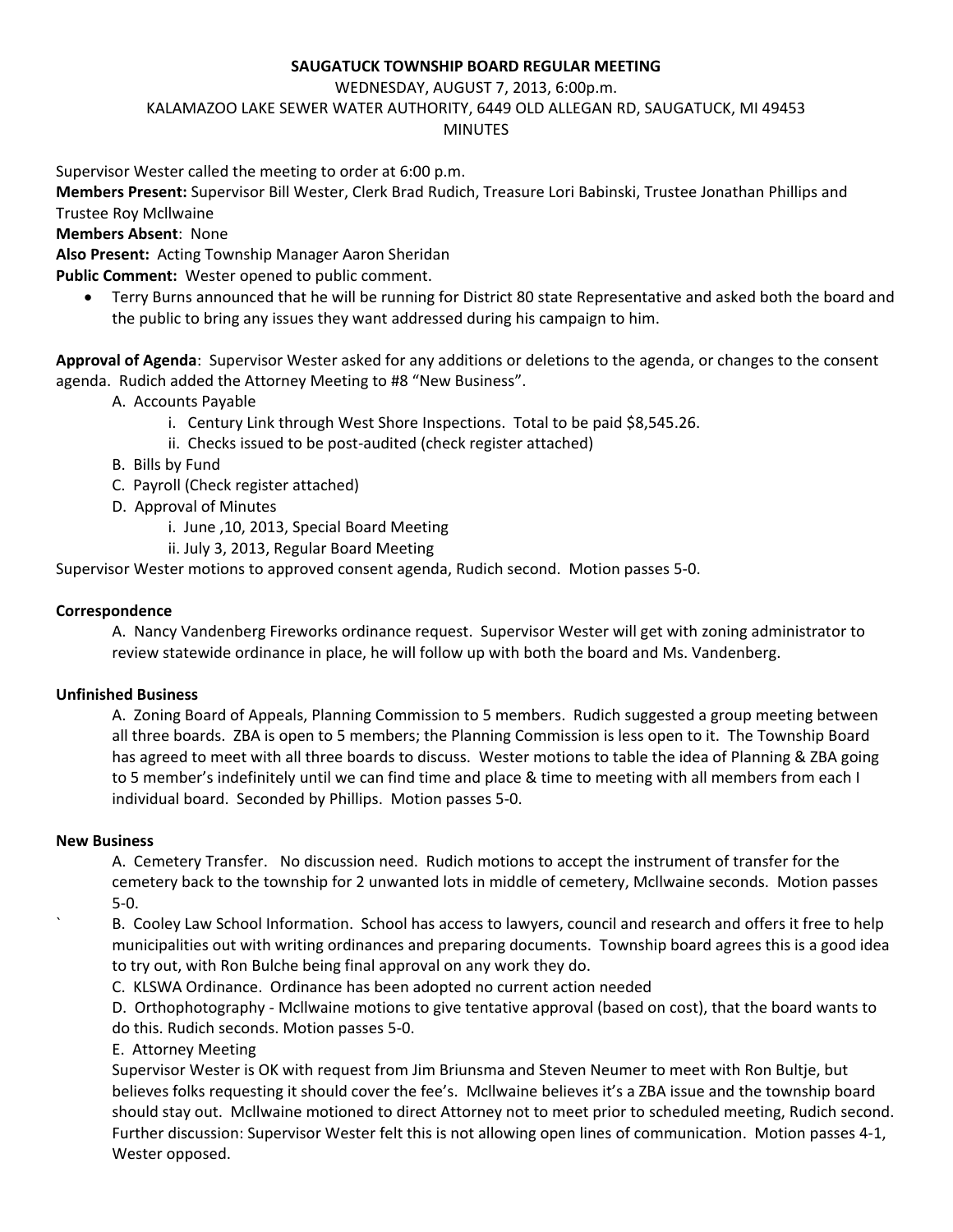## **SAUGATUCK TOWNSHIP BOARD REGULAR MEETING**

WEDNESDAY, AUGUST 7, 2013, 6:00p.m.

KALAMAZOO LAKE SEWER WATER AUTHORITY, 6449 OLD ALLEGAN RD, SAUGATUCK, MI 49453

### MINUTES

Supervisor Wester called the meeting to order at 6:00 p.m.

**Members Present:** Supervisor Bill Wester, Clerk Brad Rudich, Treasure Lori Babinski, Trustee Jonathan Phillips and Trustee Roy Mcllwaine

**Members Absent**: None

**Also Present:** Acting Township Manager Aaron Sheridan

**Public Comment:** Wester opened to public comment.

 Terry Burns announced that he will be running for District 80 state Representative and asked both the board and the public to bring any issues they want addressed during his campaign to him.

**Approval of Agenda**: Supervisor Wester asked for any additions or deletions to the agenda, or changes to the consent agenda. Rudich added the Attorney Meeting to #8 "New Business".

A. Accounts Payable

- i. Century Link through West Shore Inspections. Total to be paid \$8,545.26.
- ii. Checks issued to be post-audited (check register attached)
- B. Bills by Fund
- C. Payroll (Check register attached)
- D. Approval of Minutes
	- i. June ,10, 2013, Special Board Meeting
	- ii. July 3, 2013, Regular Board Meeting

Supervisor Wester motions to approved consent agenda, Rudich second. Motion passes 5-0.

# **Correspondence**

A. Nancy Vandenberg Fireworks ordinance request. Supervisor Wester will get with zoning administrator to review statewide ordinance in place, he will follow up with both the board and Ms. Vandenberg.

# **Unfinished Business**

A. Zoning Board of Appeals, Planning Commission to 5 members. Rudich suggested a group meeting between all three boards. ZBA is open to 5 members; the Planning Commission is less open to it. The Township Board has agreed to meet with all three boards to discuss. Wester motions to table the idea of Planning & ZBA going to 5 member's indefinitely until we can find time and place & time to meeting with all members from each I individual board. Seconded by Phillips. Motion passes 5-0.

### **New Business**

A. Cemetery Transfer. No discussion need. Rudich motions to accept the instrument of transfer for the cemetery back to the township for 2 unwanted lots in middle of cemetery, Mcllwaine seconds. Motion passes 5-0.

B. Cooley Law School Information. School has access to lawyers, council and research and offers it free to help municipalities out with writing ordinances and preparing documents. Township board agrees this is a good idea to try out, with Ron Bulche being final approval on any work they do.

C. KLSWA Ordinance. Ordinance has been adopted no current action needed

D. Orthophotography - Mcllwaine motions to give tentative approval (based on cost), that the board wants to do this. Rudich seconds. Motion passes 5-0.

E. Attorney Meeting

Supervisor Wester is OK with request from Jim Briunsma and Steven Neumer to meet with Ron Bultje, but believes folks requesting it should cover the fee's. Mcllwaine believes it's a ZBA issue and the township board should stay out. Mcllwaine motioned to direct Attorney not to meet prior to scheduled meeting, Rudich second. Further discussion: Supervisor Wester felt this is not allowing open lines of communication. Motion passes 4-1, Wester opposed.